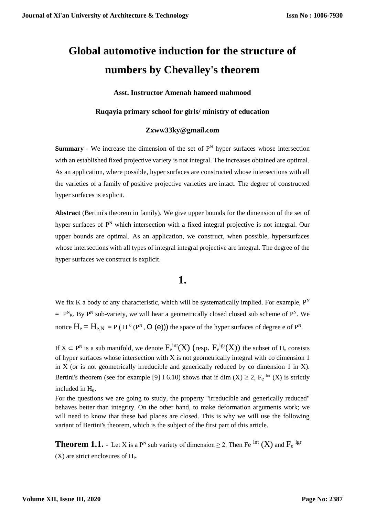# **Global automotive induction for the structure of numbers by Chevalley's theorem**

**Asst. Instructor Amenah hameed mahmood**

#### **Ruqayia primary school for girls/ ministry of education**

#### **Zxww33ky@gmail.com**

**Summary** - We increase the dimension of the set of  $P<sup>N</sup>$  hyper surfaces whose intersection with an established fixed projective variety is not integral. The increases obtained are optimal. As an application, where possible, hyper surfaces are constructed whose intersections with all the varieties of a family of positive projective varieties are intact. The degree of constructed hyper surfaces is explicit.

**Abstract** (Bertini's theorem in family). We give upper bounds for the dimension of the set of hyper surfaces of  $P^N$  which intersection with a fixed integral projective is not integral. Our upper bounds are optimal. As an application, we construct, when possible, hypersurfaces whose intersections with all types of integral integral projective are integral. The degree of the hyper surfaces we construct is explicit.

### **1.**

We fix K a body of any characteristic, which will be systematically implied. For example,  $P<sup>N</sup>$  $= P^{N}_{K}$ . By P<sup>N</sup> sub-variety, we will hear a geometrically closed closed sub scheme of P<sup>N</sup>. We notice  $H_e = H_{e,N} = P(H^0(P^N, O(e)))$  the space of the hyper surfaces of degree e of  $P^N$ .

If  $X \subset P^N$  is a sub manifold, we denote  $F_e^{int}(X)$  (resp.  $F_e^{igr}(X)$ ) the subset of  $H_e$  consists of hyper surfaces whose intersection with X is not geometrically integral with co dimension 1 in X (or is not geometrically irreducible and generically reduced by co dimension 1 in X). Bertini's theorem (see for example [9] I 6.10) shows that if dim  $(X) \ge 2$ ,  $F_e$  <sup>int</sup>  $(X)$  is strictly included in He.

For the questions we are going to study, the property "irreducible and generically reduced" behaves better than integrity. On the other hand, to make deformation arguments work; we will need to know that these bad places are closed. This is why we will use the following variant of Bertini's theorem, which is the subject of the first part of this article.

**Theorem 1.1.** - Let X is a P<sup>N</sup> sub variety of dimension  $\geq$  2. Then Fe <sup>int</sup> (X) and F<sub>e</sub> <sup>ign</sup>  $(X)$  are strict enclosures of  $H_e$ .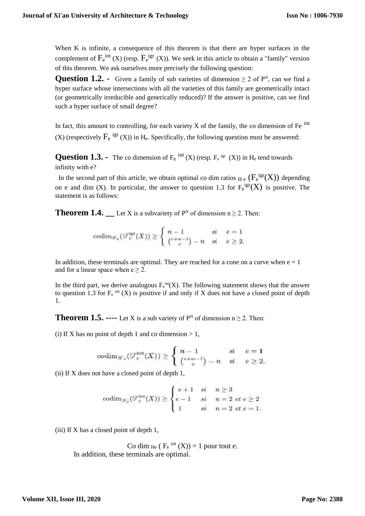When K is infinite, a consequence of this theorem is that there are hyper surfaces in the complement of  $F_e^{int}$  (X) (resp.  $F_e^{igr}$  (X)). We seek in this article to obtain a "family" version of this theorem. We ask ourselves more precisely the following question:

**Question 1.2.** - Given a family of sub varieties of dimension  $\geq 2$  of  $P^N$ , can we find a hyper surface whose intersections with all the varieties of this family are geometrically intact (or geometrically irreducible and generically reduced)? If the answer is positive, can we find such a hyper surface of small degree?

In fact, this amount to controlling, for each variety  $X$  of the family, the co dimension of Fe  $\overline{P}$ <sup>int</sup> (X) (respectively  $F_e$  <sup>igr</sup> (X)) in H<sub>e</sub>. Specifically, the following question must be answered:

**Question 1.3.** - The co dimension of  $F_e$  <sup>int</sup> (X) (resp.  $F_e$  <sup>igr</sup> (X)) in  $H_e$  tend towards infinity with e?

In the second part of this article, we obtain optimal co dim ratios  $_{\rm He}$  ( $F_{\rm e}^{\rm igr}(X)$ ) depending on e and dim (X). In particular, the answer to question 1.3 for  $F_e^{igr}(X)$  is positive. The statement is as follows:

**Theorem 1.4.**  $\qquad$  Let X is a subvariety of  $P^N$  of dimension  $n \ge 2$ . Then:

$$
\mathrm{codim}_{\mathcal{H}_e}(\mathcal{F}_e^{\mathrm{igr}}(X))\geq\left\{\begin{array}{ll} n-1 & si & e=1\\ \binom{e+n-1}{e}-n & si & e\geq 2.\end{array}\right.
$$

In addition, these terminals are optimal. They are reached for a cone on a curve when  $e = 1$ and for a linear space when  $e \geq 2$ .

In the third part, we derive analogous  $F<sub>e</sub>^{int}(X)$ . The following statement shows that the answer to question 1.3 for  $F_e$  int (X) is positive if and only if X does not have a closed point of depth 1.

**Theorem 1.5.** ---- Let X is a sub variety of  $P^N$  of dimension  $n \ge 2$ . Then:

(i) If X has no point of depth 1 and co dimension  $> 1$ ,

$$
\mathrm{codim}_{\mathscr{H}_e}(\mathcal{F}_e^{\mathrm{int}}(X))\geq\left\{\begin{array}{ll} n-1 & si & e=1\\ (^{e+n-1})-n & si & e\geq 2.\end{array}\right.
$$

(ii) If X does not have a closed point of depth 1,

$$
\operatorname{codim}_{\mathcal{H}_e}(\mathcal{F}_e^{\operatorname{int}}(X)) \ge \begin{cases} e+1 & si & n \ge 3 \\ e-1 & si & n = 2 \ et \ e \ge 2 \\ 1 & si & n = 2 \ et \ e = 1. \end{cases}
$$

(iii) If X has a closed point of depth 1,

Co dim  $_{\text{He}}$  ( $F_e$ <sup>int</sup> (X)) = 1 pour tout e. In addition, these terminals are optimal.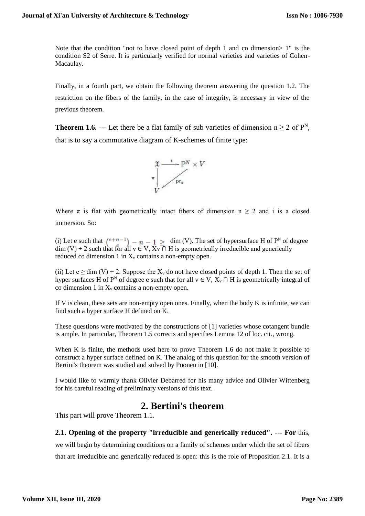Note that the condition "not to have closed point of depth 1 and co dimension > 1" is the condition S2 of Serre. It is particularly verified for normal varieties and varieties of Cohen-Macaulay.

Finally, in a fourth part, we obtain the following theorem answering the question 1.2. The restriction on the fibers of the family, in the case of integrity, is necessary in view of the previous theorem.

**Theorem 1.6. ---** Let there be a flat family of sub varieties of dimension  $n \ge 2$  of  $P^N$ , that is to say a commutative diagram of K-schemes of finite type:



Where  $\pi$  is flat with geometrically intact fibers of dimension  $n \geq 2$  and i is a closed immersion. So:

(i) Let e such that  $\binom{e+n-1}{e}$  –  $n-1 \geq$  dim (V). The set of hypersurface H of P<sup>N</sup> of degree  $\dim$  (V) + 2 such that for all  $v \in V$ ,  $Xv \cap H$  is geometrically irreducible and generically reduced co dimension 1 in  $X<sub>v</sub>$  contains a non-empty open.

(ii) Let  $e \ge \dim(V) + 2$ . Suppose the  $X_v$  do not have closed points of depth 1. Then the set of hyper surfaces H of P<sup>N</sup> of degree e such that for all  $v \in V$ ,  $X_v \cap H$  is geometrically integral of co dimension 1 in  $X<sub>v</sub>$  contains a non-empty open.

If V is clean, these sets are non-empty open ones. Finally, when the body K is infinite, we can find such a hyper surface H defined on K.

These questions were motivated by the constructions of [1] varieties whose cotangent bundle is ample. In particular, Theorem 1.5 corrects and specifies Lemma 12 of loc. cit., wrong.

When K is finite, the methods used here to prove Theorem 1.6 do not make it possible to construct a hyper surface defined on K. The analog of this question for the smooth version of Bertini's theorem was studied and solved by Poonen in [10].

I would like to warmly thank Olivier Debarred for his many advice and Olivier Wittenberg for his careful reading of preliminary versions of this text.

## **2. Bertini's theorem**

This part will prove Theorem 1.1.

### **2.1. Opening of the property "irreducible and generically reduced". --- For** this,

we will begin by determining conditions on a family of schemes under which the set of fibers that are irreducible and generically reduced is open: this is the role of Proposition 2.1. It is a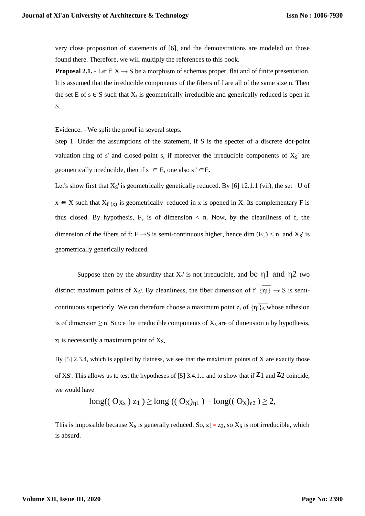very close proposition of statements of [6], and the demonstrations are modeled on those found there. Therefore, we will multiply the references to this book.

**Proposal 2.1.** - Let f:  $X \rightarrow S$  be a morphism of schemas proper, flat and of finite presentation. It is assumed that the irreducible components of the fibers of f are all of the same size n. Then the set E of s  $\in$  S such that  $X_s$  is geometrically irreducible and generically reduced is open in S.

Evidence. - We split the proof in several steps.

Step 1. Under the assumptions of the statement, if S is the specter of a discrete dot-point valuation ring of s' and closed-point s, if moreover the irreducible components of  $X_S$ ' are geometrically irreducible, then if  $s \in E$ , one also  $s' \in E$ .

Let's show first that  $X_S$ ' is geometrically genetically reduced. By [6] 12.1.1 (vii), the set U of  $x \in X$  such that  $X_{f(x)}$  is geometrically reduced in x is opened in X. Its complementary F is thus closed. By hypothesis,  $F_s$  is of dimension  $\lt$  n. Now, by the cleanliness of f, the dimension of the fibers of f: F  $\rightarrow$ S is semi-continuous higher, hence dim (F<sub>s</sub>') < n, and X<sub>S</sub>' is geometrically generically reduced.

Suppose then by the absurdity that  $X_s$ ' is not irreducible, and be  $\eta_1$  and  $\eta_2$  two distinct maximum points of  $X_S$ . By cleanliness, the fiber dimension of f:  $\{\eta i\} \rightarrow S$  is semicontinuous superiorly. We can therefore choose a maximum point  $z_i$  of  $\{\eta_i\}_{s}$  whose adhesion is of dimension  $\geq$  n. Since the irreducible components of  $X_s$  are of dimension n by hypothesis,  $z_i$  is necessarily a maximum point of  $X_s$ .

By  $[5]$  2.3.4, which is applied by flatness, we see that the maximum points of X are exactly those of XS'. This allows us to test the hypotheses of [5] 3.4.1.1 and to show that if  $Z_1$  and  $Z_2$  coincide, we would have

long(( 
$$
O_{Xs}
$$
)  $z_1$  )  $\geq$  long ((  $O_X$ )<sub>η1</sub> ) + long((  $O_X$ )<sub>η2</sub> )  $\geq$  2,

This is impossible because  $X_s$  is generally reduced. So,  $z_1 = z_2$ , so  $X_s$  is not irreducible, which is absurd.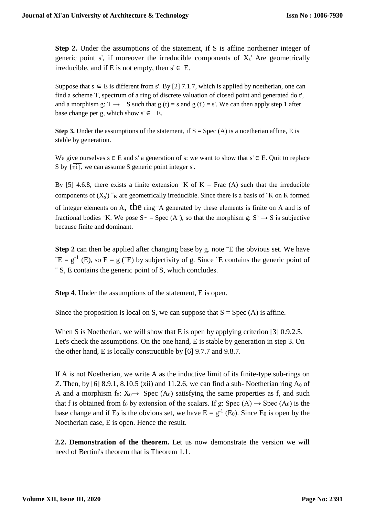**Step 2.** Under the assumptions of the statement, if S is affine northerner integer of generic point s', if moreover the irreducible components of  $X_s$ ' Are geometrically irreducible, and if E is not empty, then  $s' \in E$ .

Suppose that  $s \in E$  is different from s'. By [2] 7.1.7, which is applied by noetherian, one can find a scheme T, spectrum of a ring of discrete valuation of closed point and generated do t', and a morphism g:  $T \rightarrow$  S such that g (t) = s and g (t') = s'. We can then apply step 1 after base change per g, which show  $s' \in E$ .

**Step 3.** Under the assumptions of the statement, if  $S = \text{Spec} (A)$  is a noetherian affine, E is stable by generation.

We give ourselves  $s \in E$  and s' a generation of s: we want to show that  $s' \in E$ . Quit to replace S by  $\{\overrightarrow{ni}\}\$ , we can assume S generic point integer s'.

By [5] 4.6.8, there exists a finite extension  $K$  of  $K = Frac(A)$  such that the irreducible components of  $(X_s)$   $\tilde{K}$  are geometrically irreducible. Since there is a basis of  $\tilde{K}$  on K formed of integer elements on A, the ring  $\Delta$  generated by these elements is finite on A and is of fractional bodies  $K$ . We pose  $S \sim$  = Spec (A<sup>-</sup>), so that the morphism g:  $S \sim$  S is subjective because finite and dominant.

**Step 2** can then be applied after changing base by g. note  $\tilde{E}$  the obvious set. We have  $E = g^{-1}$  (E), so  $E = g$  (E) by subjectivity of g. Since  $\tilde{E}$  contains the generic point of  $\tilde{\phantom{a}}$  S, E contains the generic point of S, which concludes.

**Step 4**. Under the assumptions of the statement, E is open.

Since the proposition is local on S, we can suppose that  $S = Spec(A)$  is affine.

When S is Noetherian, we will show that E is open by applying criterion [3] 0.9.2.5. Let's check the assumptions. On the one hand, E is stable by generation in step 3. On the other hand, E is locally constructible by [6] 9.7.7 and 9.8.7.

If A is not Noetherian, we write A as the inductive limit of its finite-type sub-rings on Z. Then, by [6] 8.9.1, 8.10.5 (xii) and 11.2.6, we can find a sub-Noetherian ring  $A_0$  of A and a morphism f<sub>0</sub>:  $X_0 \rightarrow$  Spec (A<sub>0</sub>) satisfying the same properties as f, and such that f is obtained from  $f_0$  by extension of the scalars. If g: Spec  $(A) \rightarrow$  Spec  $(A_0)$  is the base change and if  $E_0$  is the obvious set, we have  $E = g^{-1}$  (E<sub>0</sub>). Since  $E_0$  is open by the Noetherian case, E is open. Hence the result.

**2.2. Demonstration of the theorem.** Let us now demonstrate the version we will need of Bertini's theorem that is Theorem 1.1.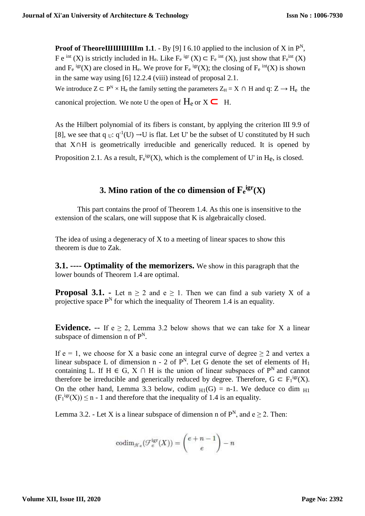**Proof of TheoreIIIIIIIIIIIIIII** 1.1. - By [9] I 6.10 applied to the inclusion of X in  $P^N$ , F e <sup>int</sup> (X) is strictly included in H<sub>e</sub>. Like  $F_e$  <sup>igr</sup> (X)  $\subset F_e$  <sup>int</sup> (X), just show that  $F_e$ <sup>int</sup> (X) and  $F_e^{igr}(X)$  are closed in H<sub>e</sub>. We prove for  $F_e^{igr}(X)$ ; the closing of  $F_e^{int}(X)$  is shown in the same way using [6] 12.2.4 (viii) instead of proposal 2.1. We introduce  $Z \subset P^N \times H_e$  the family setting the parameters  $Z_H = X \cap H$  and  $q: Z \to H_e$  the

canonical projection. We note U the open of  $H_e$  or  $X \subseteq H$ .

As the Hilbert polynomial of its fibers is constant, by applying the criterion III 9.9 of [8], we see that q  $_U: q^{-1}(U) \rightarrow U$  is flat. Let U' be the subset of U constituted by H such that X∩H is geometrically irreducible and generically reduced. It is opened by Proposition 2.1. As a result,  $F_e^{igr}(X)$ , which is the complement of U' in H<sub>e</sub>, is closed.

# **3.** Mino ration of the co dimension of  $\mathbf{F}_e^{i\text{gr}}(X)$

This part contains the proof of Theorem 1.4. As this one is insensitive to the extension of the scalars, one will suppose that K is algebraically closed.

The idea of using a degeneracy of X to a meeting of linear spaces to show this theorem is due to Zak.

**3.1. ---- Optimality of the memorizers.** We show in this paragraph that the lower bounds of Theorem 1.4 are optimal.

**Proposal 3.1.** - Let  $n \ge 2$  and  $e \ge 1$ . Then we can find a sub variety X of a projective space  $P<sup>N</sup>$  for which the inequality of Theorem 1.4 is an equality.

**Evidence.** -- If  $e > 2$ , Lemma 3.2 below shows that we can take for X a linear subspace of dimension n of  $P^N$ .

If  $e = 1$ , we choose for X a basic cone an integral curve of degree  $\geq 2$  and vertex a linear subspace L of dimension n - 2 of  $P<sup>N</sup>$ . Let G denote the set of elements of  $H<sub>1</sub>$ containing L. If H  $\in$  G, X  $\cap$  H is the union of linear subspaces of P<sup>N</sup> and cannot therefore be irreducible and generically reduced by degree. Therefore,  $G \subset F_1^{igr}(X)$ . On the other hand, Lemma 3.3 below, codim  $H_1(G) = n-1$ . We deduce co dim  $H_1$  $(F_1^{\text{igr}}(X)) \leq n - 1$  and therefore that the inequality of 1.4 is an equality.

Lemma 3.2. - Let X is a linear subspace of dimension n of  $P^N$ , and  $e \ge 2$ . Then:

$$
\mathrm{codim}_{\mathcal{H}_e}(\mathcal{F}_e^{\mathrm{igr}}(X)) = {e+n-1 \choose e}-n
$$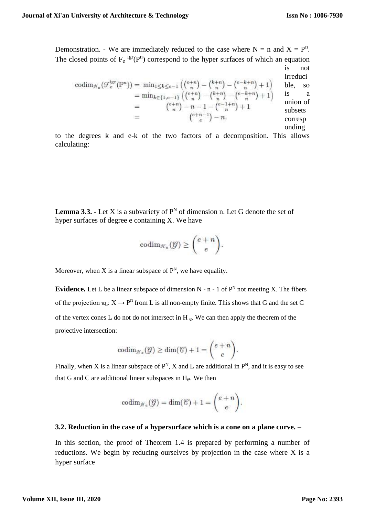Demonstration. - We are immediately reduced to the case where  $N = n$  and  $X = P^n$ . The closed points of  $F_e^{igr}(P^n)$  correspond to the hyper surfaces of which an equation is not

$$
\begin{array}{rcl}\n\operatorname{codim}_{\mathcal{H}_{e}}\left(\mathcal{F}_{e}^{\operatorname{igr}}(\mathbb{P}^{n})\right) & = & \min_{1 \leq k \leq e-1} \left( \binom{e+n}{n} - \binom{k+n}{n} - \binom{e-k+n}{n} + 1 \right) & \text{else, so} \\
& = & \min_{k \in \{1, e-1\}} \left( \binom{e+n}{n} - \binom{k+n}{n} - \binom{e-k+n}{n} + 1 \right) & \text{is} & \text{a} \\
& = & \binom{e+n}{n} - n - 1 - \binom{e-1+n}{n} + 1 & \text{subsets} \\
& = & \binom{e+n-1}{e} - n. & \text{corresp} \\
& \text{onding}\n\end{array}
$$

to the degrees k and e-k of the two factors of a decomposition. This allows calculating:

**Lemma 3.3.** - Let X is a subvariety of  $P^N$  of dimension n. Let G denote the set of hyper surfaces of degree e containing X. We have

$$
\mathrm{codim}_{\mathcal{H}_e}(\mathcal{G}) \geq \binom{e+n}{e}.
$$

Moreover, when X is a linear subspace of  $P<sup>N</sup>$ , we have equality.

**Evidence.** Let L be a linear subspace of dimension  $N - n - 1$  of  $P^N$  not meeting X. The fibers of the projection  $\pi_L: X \to P^n$  from L is all non-empty finite. This shows that G and the set C of the vertex cones L do not do not intersect in H $_{\rm e}$ . We can then apply the theorem of the projective intersection:

$$
\mathrm{codim}_{\mathcal{H}_e}(\mathcal{G}) \ge \dim(\mathcal{C}) + 1 = \binom{e+n}{e}.
$$

Finally, when X is a linear subspace of  $P^N$ , X and L are additional in  $P^N$ , and it is easy to see that G and C are additional linear subspaces in He. We then

$$
\mathrm{codim}_{\mathcal{H}_e}(\mathcal{G})=\dim(\mathcal{C})+1=\binom{e+n}{e}.
$$

### **3.2. Reduction in the case of a hypersurface which is a cone on a plane curve. –**

In this section, the proof of Theorem 1.4 is prepared by performing a number of reductions. We begin by reducing ourselves by projection in the case where X is a hyper surface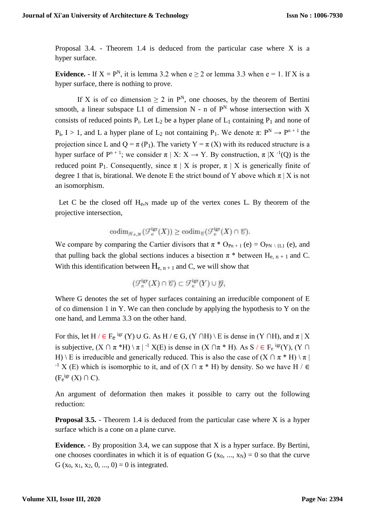Proposal 3.4. - Theorem 1.4 is deduced from the particular case where X is a hyper surface.

**Evidence.** - If  $X = P^N$ , it is lemma 3.2 when  $e \ge 2$  or lemma 3.3 when  $e = 1$ . If X is a hyper surface, there is nothing to prove.

If X is of co dimension  $\geq 2$  in  $P^N$ , one chooses, by the theorem of Bertini smooth, a linear subspace L1 of dimension  $N - n$  of  $P<sup>N</sup>$  whose intersection with X consists of reduced points  $P_i$ . Let  $L_2$  be a hyper plane of  $L_1$  containing  $P_1$  and none of  $P_1$ ,  $I > 1$ , and L a hyper plane of  $L_2$  not containing  $P_1$ . We denote  $\pi: P^N \to P^{n+1}$  the projection since L and Q =  $\pi$  (P<sub>1</sub>). The variety Y =  $\pi$  (X) with its reduced structure is a hyper surface of  $P^{n+1}$ ; we consider  $\pi | X: X \to Y$ . By construction,  $\pi | X^{-1}(Q)$  is the reduced point P<sub>1</sub>. Consequently, since  $\pi$  | X is proper,  $\pi$  | X is generically finite of degree 1 that is, birational. We denote E the strict bound of Y above which  $\pi$  | X is not an isomorphism.

Let C be the closed off  $H_{e,N}$  made up of the vertex cones L. By theorem of the projective intersection,

$$
\operatorname{codim}_{\mathcal{H}_{e,N}}(\mathcal{F}_e^{\operatorname{igr}}(X)) \ge \operatorname{codim}_{\mathcal{C}}(\mathcal{F}_e^{\operatorname{Igr}}(X) \cap \mathcal{C}).
$$

We compare by comparing the Cartier divisors that  $\pi * O_{Pn+1}(e) = O_{PN \setminus \{L\}}(e)$ , and that pulling back the global sections induces a bisection  $\pi$ <sup>\*</sup> between H<sub>e, n+1</sub> and C. With this identification between  $H_{e, n+1}$  and C, we will show that

$$
(\mathcal{F}_e^{\text{igr}}(X) \cap \mathcal{C}) \subset \mathcal{F}_e^{\text{igr}}(Y) \cup \mathcal{G},
$$

Where G denotes the set of hyper surfaces containing an irreducible component of E of co dimension 1 in Y. We can then conclude by applying the hypothesis to Y on the one hand, and Lemma 3.3 on the other hand.

For this, let H /  $\in$  F<sub>e</sub> <sup>igr</sup> (Y) ∪ G. As H /  $\in$  G, (Y ∩H) \ E is dense in (Y ∩H), and  $\pi$  | X is subjective,  $(X \cap \pi * H) \setminus \pi$  |  $^{-1} X(E)$  is dense in  $(X \cap \pi * H)$ . As  $S / \in F_e$  <sup>igr</sup> $(Y)$ ,  $(Y \cap E)$ H) \ E is irreducible and generically reduced. This is also the case of  $(X \cap \pi * H) \setminus \pi$  $^{-1}$  X (E) which is isomorphic to it, and of  $(X \cap \pi * H)$  by density. So we have H /  $\in$  $(F_e^{igr}(X) \cap C).$ 

An argument of deformation then makes it possible to carry out the following reduction:

**Proposal 3.5.** - Theorem 1.4 is deduced from the particular case where X is a hyper surface which is a cone on a plane curve.

**Evidence.** - By proposition 3.4, we can suppose that X is a hyper surface. By Bertini, one chooses coordinates in which it is of equation G  $(x_0, ..., x_N) = 0$  so that the curve G (x<sub>0</sub>, x<sub>1</sub>, x<sub>2</sub>, 0, ..., 0) = 0 is integrated.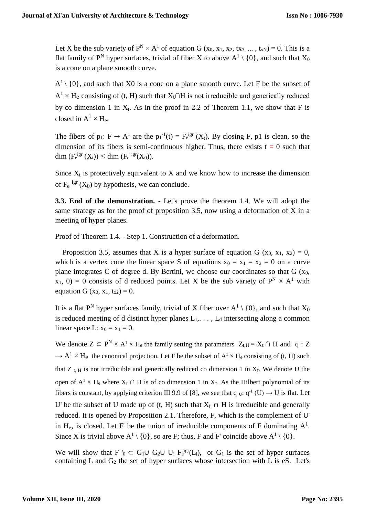Let X be the sub variety of  $P^N \times A^1$  of equation G  $(x_0, x_1, x_2, tx_3, ..., tx_N) = 0$ . This is a flat family of P<sup>N</sup> hyper surfaces, trivial of fiber X to above  $A^1 \setminus \{0\}$ , and such that  $X_0$ is a cone on a plane smooth curve.

 $A^1 \setminus \{0\}$ , and such that X0 is a cone on a plane smooth curve. Let F be the subset of  $A<sup>1</sup>$  × H<sub>e</sub> consisting of (t, H) such that  $X_t$ ∩H is not irreducible and generically reduced by co dimension 1 in  $X_t$ . As in the proof in 2.2 of Theorem 1.1, we show that F is closed in  $A^1 \times H_e$ .

The fibers of  $p_1$ :  $F \to A^1$  are the  $p_1^{-1}(t) = F_e^{igr}(X_t)$ . By closing F, p1 is clean, so the dimension of its fibers is semi-continuous higher. Thus, there exists  $t = 0$  such that dim  $(F_e^{igr}(X_t)) \leq$  dim  $(F_e^{igr}(X_0))$ .

Since  $X_t$  is protectively equivalent to X and we know how to increase the dimension of  $F_e$  <sup>igr</sup> (X<sub>0</sub>) by hypothesis, we can conclude.

**3.3. End of the demonstration. -** Let's prove the theorem 1.4. We will adopt the same strategy as for the proof of proposition 3.5, now using a deformation of X in a meeting of hyper planes.

Proof of Theorem 1.4. - Step 1. Construction of a deformation.

Proposition 3.5, assumes that X is a hyper surface of equation G (x<sub>0</sub>, x<sub>1</sub>, x<sub>2</sub>) = 0, which is a vertex cone the linear space S of equations  $x_0 = x_1 = x_2 = 0$  on a curve plane integrates C of degree d. By Bertini, we choose our coordinates so that  $G(x_0,$  $x_1$ , 0) = 0 consists of d reduced points. Let X be the sub variety of  $P^N \times A^1$  with equation G (x<sub>0</sub>, x<sub>1</sub>, t<sub>x2</sub>) = 0.

It is a flat P<sup>N</sup> hyper surfaces family, trivial of X fiber over  $A^1 \setminus \{0\}$ , and such that  $X_0$ is reduced meeting of d distinct hyper planes  $L_1, \ldots, L_d$  intersecting along a common linear space L:  $x_0 = x_1 = 0$ .

We denote  $Z \subset P^N \times A^1 \times H_e$  the family setting the parameters  $Z_{t,H} = X_t \cap H$  and q : Z  $\rightarrow A^1 \times H_e$  the canonical projection. Let F be the subset of  $A^1 \times H_e$  consisting of (t, H) such that  $Z_{t,H}$  is not irreducible and generically reduced co dimension 1 in  $X_t$ . We denote U the open of  $A^1 \times H_e$  where  $X_t \cap H$  is of co dimension 1 in  $X_t$ . As the Hilbert polynomial of its fibers is constant, by applying criterion III 9.9 of [8], we see that q  $u: q^{-1}(U) \to U$  is flat. Let U' be the subset of U made up of (t, H) such that  $X_t \cap H$  is irreducible and generally reduced. It is opened by Proposition 2.1. Therefore, F, which is the complement of U' in  $H_e$ , is closed. Let F' be the union of irreducible components of F dominating  $A^1$ . Since X is trivial above  $A^1 \setminus \{0\}$ , so are F; thus, F and F' coincide above  $A^1 \setminus \{0\}$ .

We will show that F '<sub>0</sub>  $\subset$  G<sub>1</sub> $\cup$  G<sub>2</sub> $\cup$  U<sub>i</sub> F<sub>e</sub><sup>igr</sup>(L<sub>i</sub>), or G<sub>1</sub> is the set of hyper surfaces containing L and  $G_2$  the set of hyper surfaces whose intersection with L is eS. Let's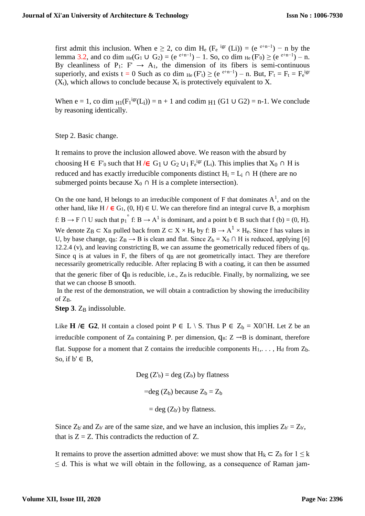first admit this inclusion. When  $e \ge 2$ , co dim H<sub>e</sub> (F<sub>e</sub> <sup>igr</sup> (Li)) = (e<sup>e+n-1</sup>) – n by the lemma 3.2, and co dim  $_{He}(G_1 \cup G_2) = (e^{e+n-1}) - 1$ . So, co dim  $_{He}(F_0) \ge (e^{e+n-1}) - n$ . By cleanliness of P<sub>1</sub>: F'  $\rightarrow$  A<sub>1</sub>, the dimension of its fibers is semi-continuous superiorly, and exists t = 0 Such as co dim  $_{He}$  (F'<sub>t</sub>) ≥ (e<sup>e+n-1</sup>) – n. But, F'<sub>t</sub> = F<sub>t</sub> = F<sub>e</sub><sup>ign</sup>  $(X_t)$ , which allows to conclude because  $X_t$  is protectively equivalent to X.

When  $e = 1$ , co dim  $H_1(F_1^{igr}(L_i)) = n + 1$  and codim  $H_1(G_1 \cup G_2) = n-1$ . We conclude by reasoning identically.

Step 2. Basic change.

It remains to prove the inclusion allowed above. We reason with the absurd by choosing  $H \in F'_{0}$  such that  $H / \in G_1 \cup G_2 \cup_i F_{e}^{igr}(L_i)$ . This implies that  $X_0 \cap H$  is reduced and has exactly irreducible components distinct  $H_i = L_i \cap H$  (there are no submerged points because  $X_0 \cap H$  is a complete intersection).

On the one hand, H belongs to an irreducible component of F that dominates  $A^1$ , and on the other hand, like H  $/$  ∈ G<sub>1</sub>, (0, H) ∈ U. We can therefore find an integral curve B, a morphism f:  $B \to F \cap U$  such that  $p_1^{\circ}$  f:  $B \to A^1$  is dominant, and a point  $b \in B$  such that  $f(b) = (0, H)$ . We denote  $Z_B \subset X_B$  pulled back from  $Z \subset X \times H_e$  by f:  $B \to A^1 \times H_e$ . Since f has values in U, by base change, qB:  $Z_B \rightarrow B$  is clean and flat. Since  $Z_b = X_0 \cap H$  is reduced, applying [6] 12.2.4 (v), and leaving constricting B, we can assume the geometrically reduced fibers of  $q_B$ . Since q is at values in F, the fibers of  $q_B$  are not geometrically intact. They are therefore necessarily geometrically reducible. After replacing B with a coating, it can then be assumed that the generic fiber of  $q_B$  is reducible, i.e.,  $Z_B$  is reducible. Finally, by normalizing, we see that we can choose B smooth.

In the rest of the demonstration, we will obtain a contradiction by showing the irreducibility of ZB.

**Step 3**. Z<sub>B</sub> indissoluble.

Like **H** /∈ G2, H contain a closed point P ∈ L \ S. Thus P ∈ Z<sub>b</sub> = X0∩H. Let Z be an irreducible component of  $Z_B$  containing P. per dimension,  $q_B: Z \rightarrow B$  is dominant, therefore flat. Suppose for a moment that Z contains the irreducible components  $H_1, \ldots, H_d$  from  $Z_b$ . So, if  $b' \in B$ ,

Deg 
$$
(Z_b)
$$
 = deg  $(Z_b)$  by flatness  
=deg  $(Z_b)$  because  $Z_b = Z_b$   
= deg  $(Z_b)$  by flatness.

Since  $Z_{b'}$  and  $Z_{b'}$  are of the same size, and we have an inclusion, this implies  $Z_{b'} = Z_{b'}$ , that is  $Z = Z$ . This contradicts the reduction of Z.

It remains to prove the assertion admitted above: we must show that  $H_k \subset Z_b$  for  $1 \leq k$  $\leq$  d. This is what we will obtain in the following, as a consequence of Raman jam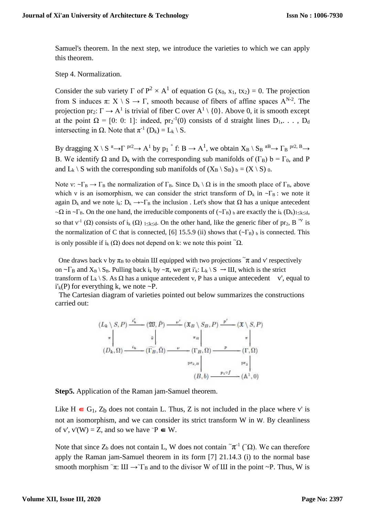Samuel's theorem. In the next step, we introduce the varieties to which we can apply this theorem.

Step 4. Normalization.

Consider the sub variety  $\Gamma$  of  $P^2 \times A^1$  of equation G (x<sub>0</sub>, x<sub>1</sub>, tx<sub>2</sub>) = 0. The projection from S induces  $\pi: X \setminus S \to \Gamma$ , smooth because of fibers of affine spaces  $A^{N-2}$ . The projection pr<sub>2</sub>:  $\Gamma \to A^1$  is trivial of fiber C over  $A^1 \setminus \{0\}$ . Above 0, it is smooth except at the point  $\Omega = [0: 0: 1]$ : indeed,  $pr_2^{-1}(0)$  consists of d straight lines  $D_1, \ldots, D_d$ intersecting in  $\Omega$ . Note that  $\pi^{-1}$  (D<sub>k</sub>) = L<sub>k</sub> \ S.

By dragging  $X \setminus S^{\pi} \to \Gamma^{pr2} \to A^1$  by  $p_1 \circ f: B \to A^1$ , we obtain  $X_B \setminus S_B \circ B^1 \to \Gamma_B^{pr2, B} \to$ B. We identify  $\Omega$  and  $D_k$  with the corresponding sub manifolds of (Γ<sub>B</sub>) b = Γ<sub>0</sub>, and P and  $L_k \setminus S$  with the corresponding sub manifolds of  $(X_B \setminus S_B)$   $_b = (X \setminus S)$  0.

Note v:  $\sim \Gamma_B \rightarrow \Gamma_B$  the normalization of  $\Gamma_B$ . Since  $D_k \setminus \Omega$  is in the smooth place of  $\Gamma_B$ , above which v is an isomorphism, we can consider the strict transform of  $D_k$  in  $\neg \Gamma_B$ : we note it again D<sub>k</sub> and we note i<sub>k</sub>: D<sub>k</sub>  $\rightarrow \sim \Gamma_B$  the inclusion . Let's show that  $\Omega$  has a unique antecedent  $\sim \Omega$  in  $\sim \Gamma_B$ . On the one hand, the irreducible components of ( $\sim \Gamma_B$ ) b are exactly the i<sub>k</sub> (D<sub>k</sub>)<sub>1≤k≤d</sub>, so that  $v^1(\Omega)$  consists of i<sub>k</sub>  $(\Omega)$  1 sk d. On the other hand, like the generic fiber of pr<sub>2</sub>, B <sup>∘ν</sup> is the normalization of C that is connected, [6] 15.5.9 (ii) shows that  $(-\Gamma_B)$  b is connected. This is only possible if  $i_k(\Omega)$  does not depend on k: we note this point  $\Omega$ .

One draws back v by  $\pi_B$  to obtain III equipped with two projections  $\tilde{\pi}$  and v' respectively on  $\sim \Gamma_B$  and  $X_B \setminus S_B$ . Pulling back  $i_k$  by  $\sim \pi$ , we get  $i'_k: L_k \setminus S \to III$ , which is the strict transform of  $L_k \ S$ . As  $\Omega$  has a unique antecedent v, P has a unique antecedent v', equal to  $i'_{k}(P)$  for everything k, we note  $\sim P$ .

 The Cartesian diagram of varieties pointed out below summarizes the constructions carried out:

$$
(L_k \setminus S, P) \xrightarrow{i'_k} (\mathfrak{W}, \tilde{P}) \xrightarrow{\nu'} (\mathfrak{X}_B \setminus S_B, P) \xrightarrow{p'} (\mathfrak{X} \setminus S, P)
$$
  
\n
$$
\pi \begin{vmatrix} \pi \\ (D_k, \Omega) \xrightarrow{i_k} (\Gamma_B, \tilde{\Omega}) \xrightarrow{\nu} (\Gamma_B, \Omega) \xrightarrow{p} (\Gamma, \Omega)
$$
  
\n
$$
\pi_{\Gamma_2, \Omega} \begin{vmatrix} \pi \\ \vdots \\ \pi_p \end{vmatrix} \xrightarrow{r} (\Gamma, \Omega)
$$
  
\n
$$
\pi_{\Gamma_2, \Omega} \begin{vmatrix} \pi \\ \vdots \\ \pi_p \end{vmatrix}
$$
  
\n
$$
(B, b) \xrightarrow{p_1 \circ f} (\mathbb{A}^1, 0)
$$

**Step5.** Application of the Raman jam-Samuel theorem.

Like H  $\in$  G<sub>1</sub>, Z<sub>b</sub> does not contain L. Thus, Z is not included in the place where v' is not an isomorphism, and we can consider its strict transform W in W. By cleanliness of v', v'(W) = Z, and so we have  $\tilde{P} \in W$ .

Note that since  $Z_b$  does not contain L, W does not contain  $\tilde{\pi}^{-1}$  ( $\tilde{\Omega}$ ). We can therefore apply the Raman jam-Samuel theorem in its form [7] 21.14.3 (i) to the normal base smooth morphism  $\tau$ . III  $\rightarrow \tau_B$  and to the divisor W of III in the point ~P. Thus, W is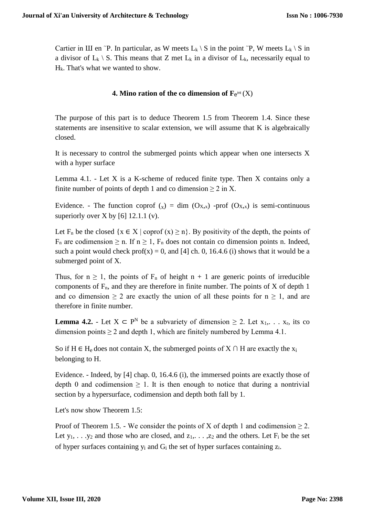Cartier in III en ~P. In particular, as W meets  $L_k \setminus S$  in the point ~P, W meets  $L_k \setminus S$  in a divisor of  $L_k \setminus S$ . This means that Z met  $L_k$  in a divisor of  $L_k$ , necessarily equal to Hk. That's what we wanted to show.

### **4.** Mino ration of the co dimension of  $\mathbf{F}_{e}^{\text{int}}(X)$

The purpose of this part is to deduce Theorem 1.5 from Theorem 1.4. Since these statements are insensitive to scalar extension, we will assume that K is algebraically closed.

It is necessary to control the submerged points which appear when one intersects X with a hyper surface

Lemma  $4.1.$  - Let X is a K-scheme of reduced finite type. Then X contains only a finite number of points of depth 1 and co dimension  $\geq 2$  in X.

Evidence. - The function coprof  $(x) = \dim (O_{X,x})$  -prof  $(O_{X,x})$  is semi-continuous superiorly over X by [6]  $12.1.1$  (v).

Let F<sub>n</sub> be the closed  $\{x \in X \mid \text{coprof } (x) \geq n\}$ . By positivity of the depth, the points of  $F_n$  are codimension  $\geq n$ . If  $n \geq 1$ ,  $F_n$  does not contain co dimension points n. Indeed, such a point would check  $prof(x) = 0$ , and [4] ch. 0, 16.4.6 (i) shows that it would be a submerged point of X.

Thus, for  $n \ge 1$ , the points of  $F_n$  of height  $n + 1$  are generic points of irreducible components of  $F_n$ , and they are therefore in finite number. The points of X of depth 1 and co dimension  $\geq 2$  are exactly the union of all these points for  $n \geq 1$ , and are therefore in finite number.

**Lemma 4.2.** - Let  $X \subset P^N$  be a subvariety of dimension  $\geq 2$ . Let  $x_1, \ldots, x_r$ , its co dimension points  $\geq 2$  and depth 1, which are finitely numbered by Lemma 4.1.

So if H ∈ H<sub>e</sub> does not contain X, the submerged points of X  $\cap$  H are exactly the x<sub>i</sub> belonging to H.

Evidence. - Indeed, by [4] chap. 0, 16.4.6 (i), the immersed points are exactly those of depth 0 and codimension  $\geq 1$ . It is then enough to notice that during a nontrivial section by a hypersurface, codimension and depth both fall by 1.

Let's now show Theorem 1.5:

Proof of Theorem 1.5. - We consider the points of X of depth 1 and codimension  $\geq 2$ . Let  $y_1, \ldots, y_2$  and those who are closed, and  $z_1, \ldots, z_2$  and the others. Let  $F_i$  be the set of hyper surfaces containing  $y_i$  and  $G_i$  the set of hyper surfaces containing  $z_i$ .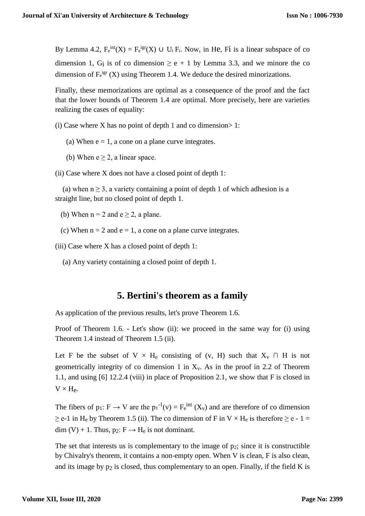By Lemma 4.2,  $F_e^{int}(X) = F_e^{igr}(X) \cup U_i F_i$ . Now, in He, Fi is a linear subspace of co dimension 1, G<sub>i</sub> is of co dimension  $\ge e + 1$  by Lemma 3.3, and we minore the co dimension of  $F_e^{irr}$  (X) using Theorem 1.4. We deduce the desired minorizations.

Finally, these memorizations are optimal as a consequence of the proof and the fact that the lower bounds of Theorem 1.4 are optimal. More precisely, here are varieties realizing the cases of equality:

(i) Case where X has no point of depth 1 and co dimension  $> 1$ :

- (a) When  $e = 1$ , a cone on a plane curve integrates.
- (b) When  $e \geq 2$ , a linear space.

(ii) Case where X does not have a closed point of depth 1:

(a) when  $n \geq 3$ , a variety containing a point of depth 1 of which adhesion is a straight line, but no closed point of depth 1.

- (b) When  $n = 2$  and  $e \ge 2$ , a plane.
- (c) When  $n = 2$  and  $e = 1$ , a cone on a plane curve integrates.

(iii) Case where X has a closed point of depth 1:

(a) Any variety containing a closed point of depth 1.

### **5. Bertini's theorem as a family**

As application of the previous results, let's prove Theorem 1.6.

Proof of Theorem 1.6. - Let's show (ii): we proceed in the same way for (i) using Theorem 1.4 instead of Theorem 1.5 (ii).

Let F be the subset of V  $\times$  H<sub>e</sub> consisting of (v, H) such that  $X_v \cap H$  is not geometrically integrity of co dimension 1 in  $X_v$ . As in the proof in 2.2 of Theorem 1.1, and using [6] 12.2.4 (viii) in place of Proposition 2.1, we show that F is closed in  $V \times H_e$ .

The fibers of  $p_1$ :  $F \to V$  are the  $p_1^{-1}(v) = F_e^{\text{int}}(X_v)$  and are therefore of co dimension  $\geq$  e-1 in H<sub>e</sub> by Theorem 1.5 (ii). The co dimension of F in V  $\times$  H<sub>e</sub> is therefore  $\geq$  e - 1 = dim (V) + 1. Thus,  $p_2$ :  $F \rightarrow H_e$  is not dominant.

The set that interests us is complementary to the image of  $p_2$ ; since it is constructible by Chivalry's theorem, it contains a non-empty open. When V is clean, F is also clean, and its image by  $p_2$  is closed, thus complementary to an open. Finally, if the field K is